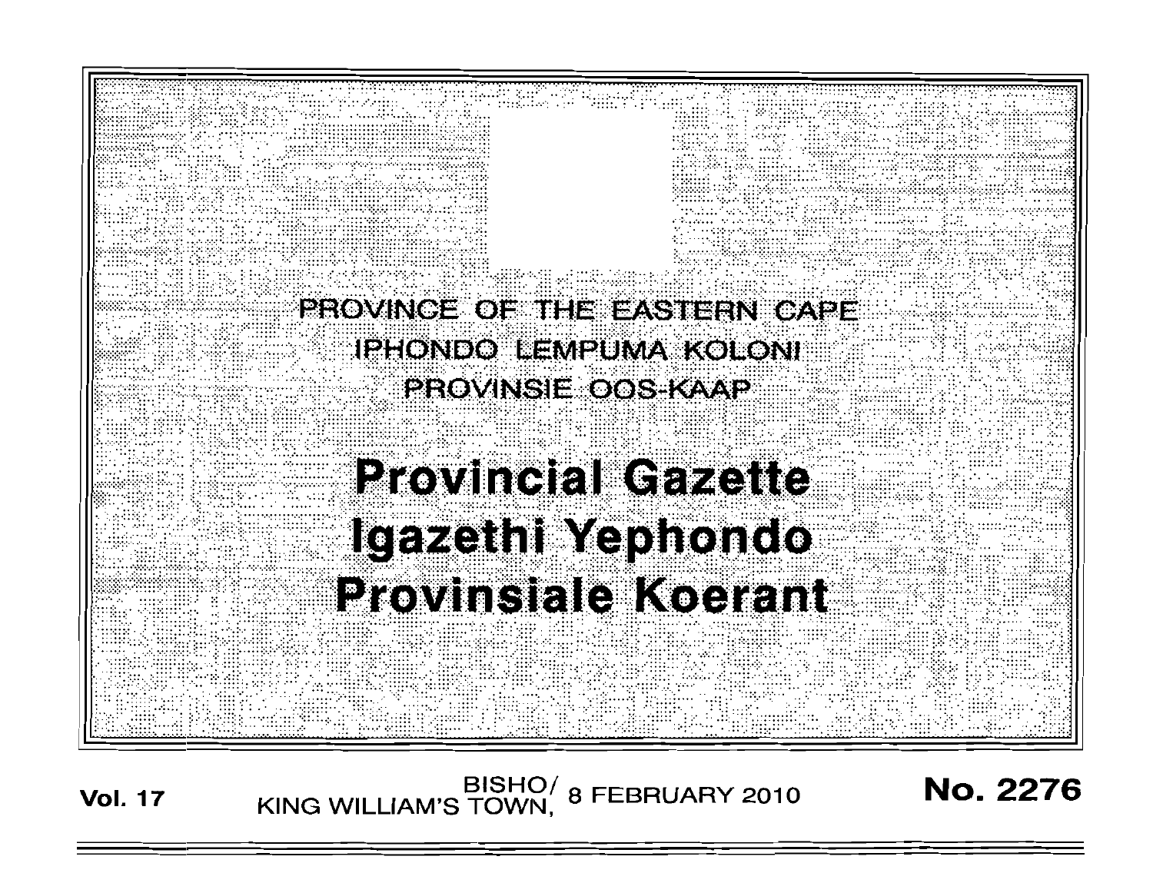

**Vol. 17** BISHO/ 8 FEBRUARY 2010 **No. 2276**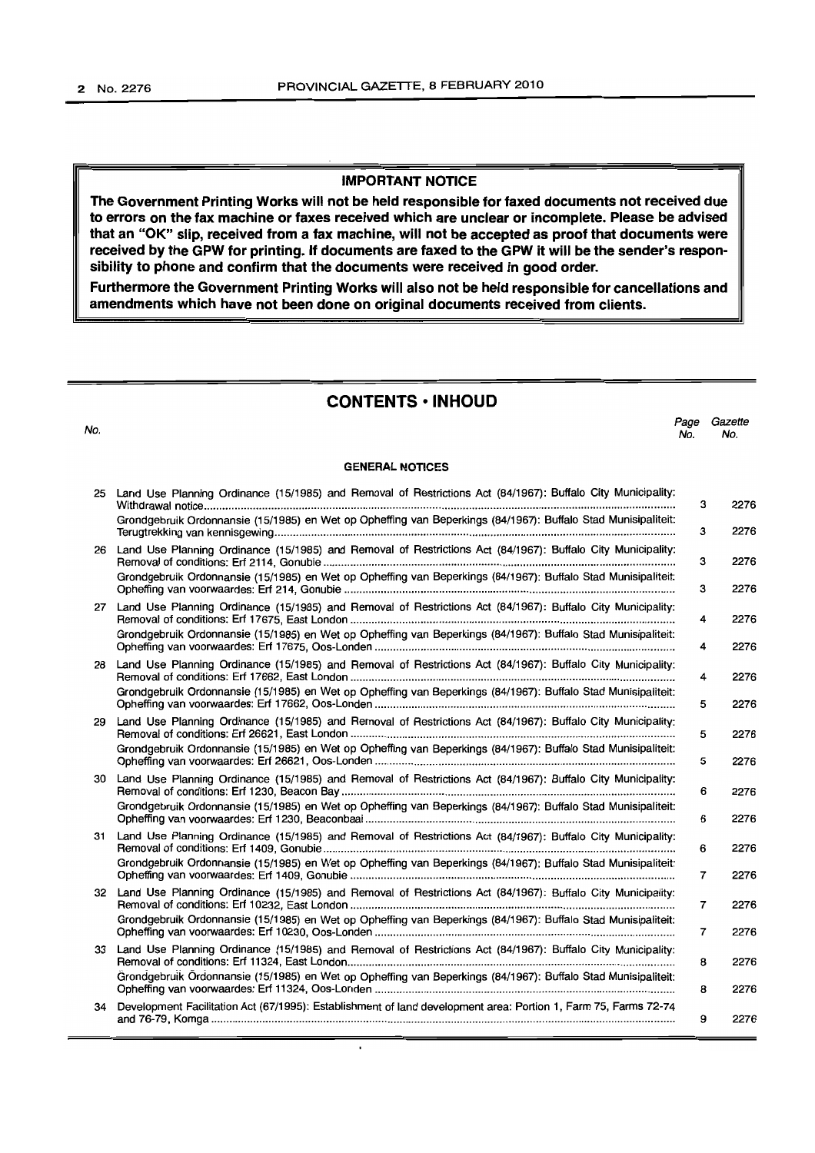#### **IMPORTANT NOTICE**

**The Government Printing Works will not be held responsible for faxed documents not received due to errors on the fax machine or faxes received which are unclear or incomplete. Please be advised that an "OK" slip, received from a fax machine, will not be accepted as proof that documents were received by the GPW for printing. If documents are faxed to the GPW it will be the sender's responsibility to phone and confirm that the documents were received in good order.**

**Furthermore the Government Printing Works will also not be held responsible for cancellations and amendments which have not been done on original documents received from clients.**

# **CONTENTS • INHOUD**

Page Gazette

No. **GENERAL NOTICES** No. No. 25 Land Use Planning Ordinance (15/1985) and Removal of Restrictions Act (84/1967): Buffalo City Municipality: Withdrawal notice . Grondgebruik Ordonnansie (15/1985) en Wet op Opheffing van Beperkings (84/1967): Buffalo Stad Munisipaliteit: Terugtrekking van kennisgewing . Land Use Planning Ordinance (15/1985) and Removal of Restrictions Act (84/1967): Buffalo City Municipality: Removal of conditions: Erf 2114, Gonubie . Grondgebruik Ordonnansie (15/1985) en Wet op Opheffing van Beperkings (84/1967): Buffalo Stad Munisipaliteit: Opheffing van voorwaardes: Erf 214, Gonubie . 27 Land Use Planning Ordinance (15/1985) and Removal of Restrictions Act (84/1967): Buffalo City Municipality: Removal of conditions: Erf 17675, East London . Grondgebruik Ordonnansie (15/1985) en Wet op Opheffing van Beperkings (84/1967): Buffalo Stad Munisipaliteit: Opheffing van voorwaardes: Erf 17675, Oos-Londen .. 28 Land Use Planning Ordinance (15/1985) and Removal of Restrictions Act (84/1967): Buffalo City Municipality: Removal of conditions: Erf 17662, East London . Grondgebruik Ordonnansie (15/1985) en Wet op Opheffing van Beperkings (84/1967): Buffalo Stad Munisipaliteit: Opheffing van voorwaardes: Erf 17662, Oos-Londen .. 29 Land Use Planning Ordinance (15/1985) and Removal of Restrictions Act (84/1967): Buffalo City Municipality: Removal of conditions: Erf 26621, East London . Grondgebruik Ordonnansie (15/1985) en Wet op Opheffing van Beperkings (84/1967): Buffalo Stad Munisipaliteit: Opheffing van voorwaardes: Erf 26621 , Oos-Londen . 30 Land Use Planning Ordinance (15/1985) and Removal of Restrictions Act (84/1967): Buffalo City Municipality: Removal of conditions: Erf 1230, Beacon Bay . Grondgebruik Ordonnansie (15/1985) en Wet op Opheffing van Beperkings (84/1967): Buffalo Stad Munisipaliteit: Opheffing van voorwaardes: Erf 1230, Beaconbaai .. 31 Land Use Planning Ordinance (15/1985) and Removal of Restrictions Act (84/1967): Buffalo City Municipality: Removal of conditions: Erf 1409, Gonubie . Grondgebruik Ordonnansie (15/1985) en Wet op Opheffing van Beperkings (84/1967): Buffalo Stad Munisipaliteit: Opheffing van voorwaardes: Erf 1409, Gonubie . 32 Land Use Planning Ordinance (15/1985) and Removal of Restrictions Act (84/1967): Buffalo City Municipality: Removal of conditions: Erf 10232, East London . Grondgebruik Ordonnansie (15/1985) en Wet op Opheffing van Beperkings (84/1967): Buffalo Stad Munisipaliteit: Opheffing van voorwaardes: Erf 10230, Oos-Londen .. Land Use Planning Ordinance (15/1985) and Removal of Restrictions Act (84/1967): Buffalo City Municipality: Removal of conditions: Erf 11324, East London . Grondgebruik 6rclonnansie (15/1985) en Wet op Opheffing van Beperkings (84/1967): Buffalo Stad Munisipaliteit: Opheffing van voorwaardes: Erf 11324, Oos-Londen .. 34 Development Facilitation Act (67/1995): Establishment of land development area: Portion 1, Farm 75, Farms 72-74 and 76-79, Komga . 3 2276 3 2276 3 2276 3 2276 4 2276 4 2276 4 2276 5 2276 5 2276 5 2276 6 2276 6 2276 6 2276 7 2276 7 2276 7 2276 8 2276 8 2276 9 2276

 $\overline{\phantom{a}}$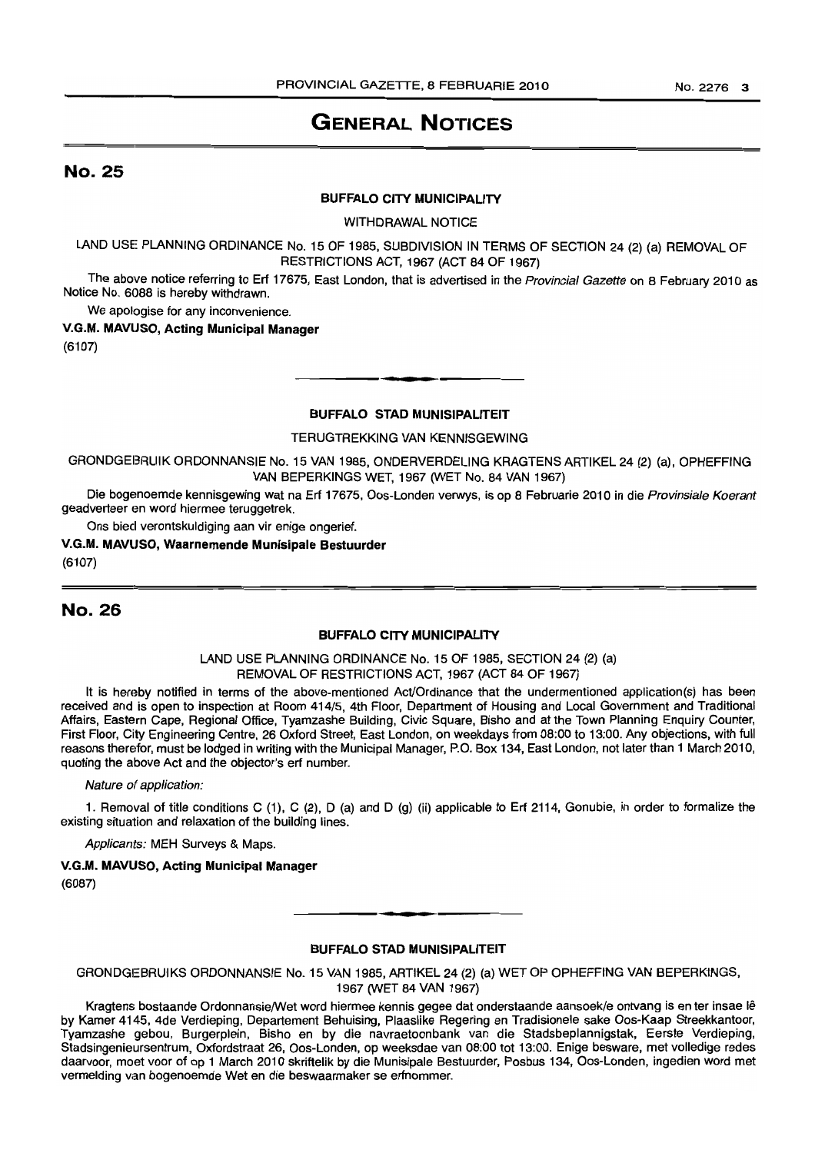# **GENERAL NOTICES**

# No. 25

### BUFFALO CITY MUNICIPALITY

WITHDRAWAL NOTICE

LAND USE PLANNING ORDINANCE No. 15 OF 1985, SUBDIVISION IN TERMS OF SECTION 24 (2) (a) REMOVAL OF RESTRICTIONS ACT, 1967 (ACT 84 OF 1967)

The above notice referring to Erf 17675, East London, that is advertised in the Provincial Gazette on 8 February 2010 as Notice No. 6088 is hereby withdrawn.

We apologise for any inconvenience.

V.G.M. MAVlJSO, Acting Municipal Manager (6107)

## BUFFALO STAD MUNISIPALITEIT

**•**

TERUGTREKKING VAN KENNISGEWING

GRONDGEBRUIK ORDONNANSIE No. 15 VAN 1985, ONDERVERDELING KRAGTENS ARTIKEL 24 (2) (a), OPHEFFING VAN BEPERKINGS WET, 1967 (WET No. 84 VAN 1967)

Die bogenoemde kennisgewing wat na Erf 17675, Oos-Londen verwys, is op 8 Februarie 2010 in die Provinsiale Koerant geadverteer en word hiermee teruggetrek.

Ons biecl verontskuldiging aan vir enige ongerief.

V.G.M. MAVUSO, Waarnemende Munisipale Bestuurder

(6107)

# No. 26

#### BUFFALO CITY MUNICIPALITY

LAND USE PLANNING ORDINANCE No. 15 OF 1985, SECTION 24 (2) (a) REMOVAL OF RESTRICTIONS ACT, 1967 (ACT 84 OF 1967)

It is hereby notified in terms of the above-mentioned Act/Ordinance that the undermentioned application(s) has been received and is open to inspection at Room 414/5, 4th Floor, Department of Housing and Local Government and Traditional Affairs, Eastern Cape, Regional Office, Tyamzashe Building, Civic Square, Bisho and at the Town Planning Enquiry Counter, First Floor, City Engineering Centre, 26 Oxford Street, East London, on weekdays from 08:00 to 13:00. Any objections, with full reasons therefor, must be lodged in writing with the Municipal Manager, P.O. Box 134, East London, not later than 1 March 2010, quoting the above Act and the objector's ert number.

Nature of application:

1. Removal of title conditions C (1), C (2), D (a) and D (g) (Ii) applicable to Erf 2114, Gonubie, in order to formalize the existing situation and relaxation of the building lines.

Applicants: MEH Surveys & Maps.

# V.G.M. MAVUSO, Acting Municipal Manager

(6087)

## **BUFFALO STAD MUNISIPALITEIT**

GRONDGEBRUIKS ORDONNANSIE No. 15 VAN 1985, ARTIKEL 24 (2) (a) WET OP OPHEFFING VAN BEPERKINGS, 1967 (WET 84 VAN 1967)

Kragtens bostaande Ordonnansie/Wet word hiermee kennis gegee dat onderstaande aansoek/e ontvang is en ter insae Ie by Kamer 4145, 4de Verdieping, Departement Behuising, Plaaslike Regering en Tradisionele sake Oos-Kaap Streekkantoor, Tyamzashe gebou, Burgerplein, Bisho en by die navraetoonbank van die Stadsbeplannigstak, Eerste Verdieping, Stadsingenieursentrum, Oxfordstraat 26, Oos-Londen, op weeksdae van 08:00 tot 13:00. Enige besware, met volledige redes daarvoor, moet voor of op 1 March 2010 skriftelik by die Munisipale Bestuurder, Posbus 134, Oos-Londen, ingedien word met vermelding van bogenoemde Wet en die beswaarmaker se erfnommer.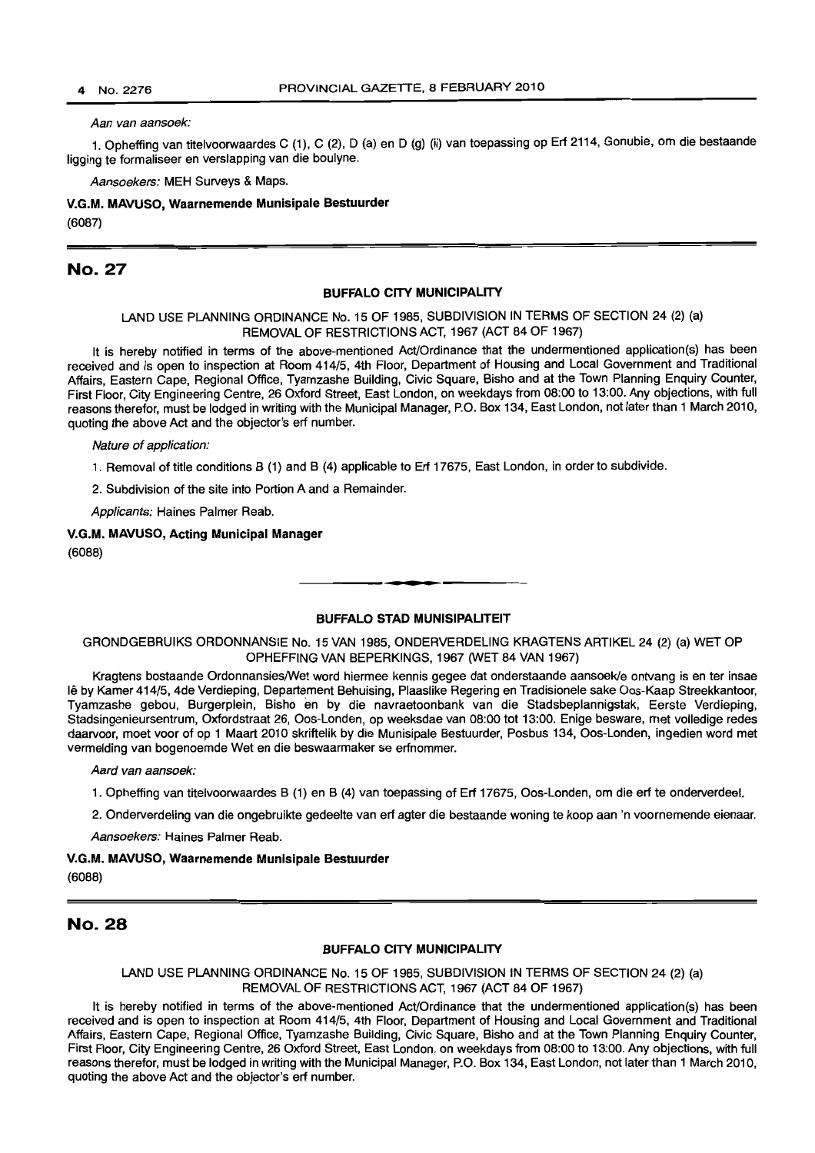#### Aan van aansoek:

1. Opheffing van titelvoorwaardes C (1), C (2), D (a) en D (g) (ii) van toepassing op Erf 2114, Gonubie, om die bestaande ligging te formaliseer en verslapping van die boulyne.

Aansoekers: MEH Surveys & Maps.

V.G.M. MAVUSO, Waarnemende Munisipale Bestuurder (6087)

## No. 27

### BUFFALO CITY MUNICIPALITY

LAND USE PLANNING ORDINANCE No. 15 OF 1985, SUBDIVISION IN TERMS OF SECTION 24 (2) (a) REMOVAL OF RESTRICTIONS ACT, 1967 (ACT 84 OF 1967)

It is hereby notified in terms of the above-mentioned Act/Ordinance that the undermentioned application(s) has been received and is open to inspection at Room 414/5, 4th Floor, Department of Housing and Local Government and Traditional Affairs, Eastern Cape, Regional Office, Tyamzashe Building, Civic Square, Bisho and at the Town Planning Enquiry Counter, First Floor, City Engineering Centre, 26 Oxford Street, East London, on weekdays from 08:00 to 13:00. Any objections, with full reasons therefor, must be lodged in writing with the Municipal Manager, P.O. Box 134, East London, not later than 1 March 2010, quoting the above Act and the objector's erf number.

Nature of application:

1. Removal of title conditions B (1) and B (4) applicable to Erf 17675, East London, in order to subdivide.

2. Subdivision of the site into Portion A and a Remainder.

Applicants: Haines Palmer Reab.

# V.G.M. MAVUSO, Acting Municipal Manager

(6088)

#### BUFFALO STAD MUNISIPALITEIT

**1\_.**

GRONDGEBRUIKS ORDONNANSIE No. 15 VAN 1985, ONDERVERDEUNG KRAGTENS ARTIKEL 24 (2) (a) WET OP OPHEFFING VAN BEPERKINGS, 1967 (WET 84 VAN 1967)

Kragtens bostaande Ordonnansies/Wet word hiermee kennis gegee dat onderstaande aansoek/e ontvang is en ter insae Ie by Kamer 414/5, 4de Verdieping, Departement Behuising, Plaaslike Regering en Tradisionele sake Oos-Kaap Streekkantoor, Tyamzashe gebou, Burgerplein, Bisho en by die navraetoonbank van die Stadsbeplannigstak, Eerste Verdieping, Stadsingenieursentrum, Oxfordstraat 26, Oos-Londen, op weeksdae van 08:00 tot 13:00. Enige besware, met volledige redes daarvoor, moet voor of op 1 Maart 2010 skriftelik by die Munisipale Bestuurder, Posbus 134, Oos-Londen, ingedien word met vermelding van bogenoemde Wet en die beswaarmaker se erfnommer.

Aard van aansoek:

1. Opheffing van titelvoorwaardes B (1) en B (4) van toepassing of Erf 17675, Oos-Londen, om die erf te onderverdeel.

2. Onderverdeling van die ongebruikte gedeelte van erf agter die bestaande woning te koop aan 'n voornemende eienaar.

Aansoekers: Haines Palmer Reab.

#### V.G.M. MAVUSO, Waarnemende Munisipale Bestuurder

(6088)

# No. 28

#### BUFFALO CITY MUNICIPALITY

LAND USE PLANNING ORDINANCE No. 15 OF 1985, SUBDIVISION IN TERMS OF SECTION 24 (2) (a) REMOVAL OF RESTRICTIONS ACT, 1967 (ACT 84 OF 1967)

It is hereby notified in terms of the above-mentioned Act/Ordinance that the undermentioned application(s) has been received and is open to inspection at Room 414/5, 4th Floor, Department of Housing and Local Government and Traditional Affairs, Eastern Cape, Regional Office, Tyamzashe Building, Civic Square, Bisho and at the Town Planning Enquiry Counter, First Floor, City Engineering Centre, 26 Oxford Street, East London, on weekdays from 08:00 to 13:00. Any objections, with full reasons therefor, must be lodged in writing with the Municipal Manager, P.O. Box 134, East London, not later than 1 March 2010, quoting the above Act and the objector's erf number.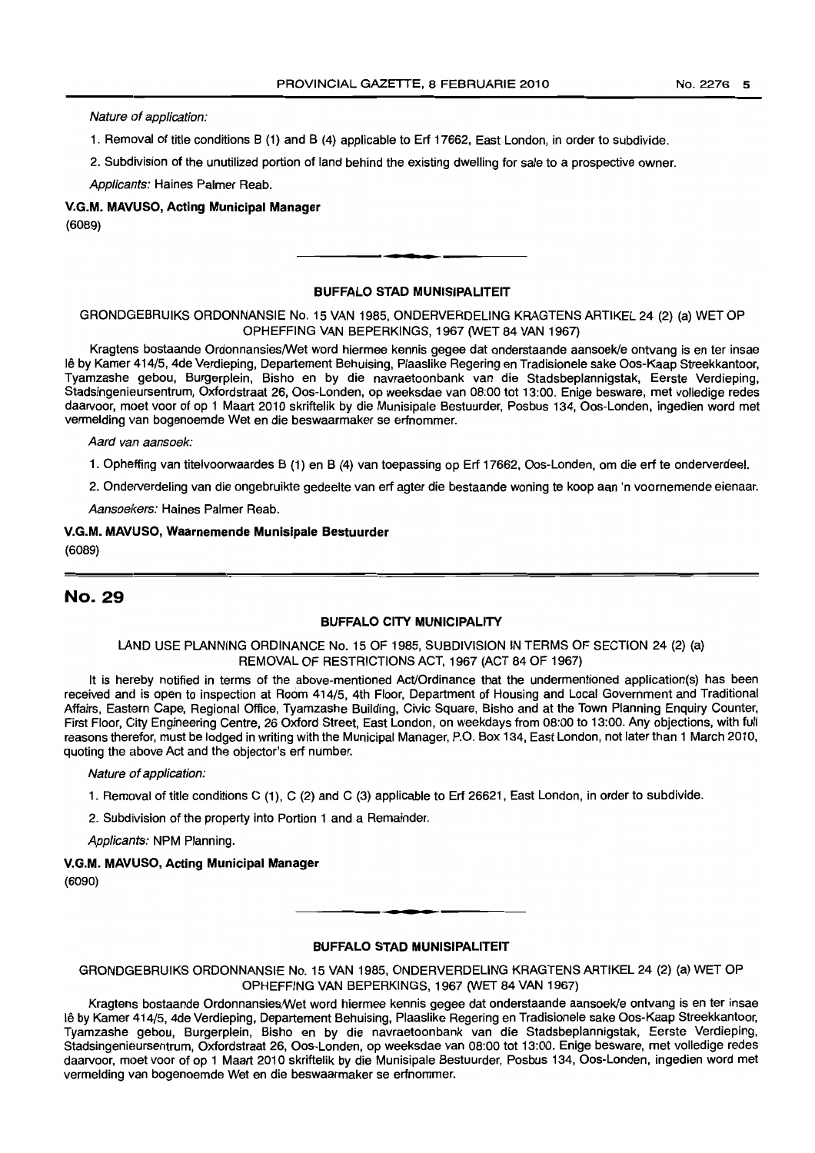Nature of application:

1. Removal of title conditions B (1) and B (4) applicable to Erf 17662, East London, in order to subdivide.

2. Subdivision of the unutilized portion of land behind the existing dwelling for sale to a prospective owner.

Applicants: Haines Palmer Reab.

# V.G.M. MAVUSO, Acting Municipal Manager (6089)

#### BUFFALO STAD MUNISIPALITEIT

**•**

GRONDGEBRUIKS ORDONNANSIE No. 15 VAN1985, ONDERVERDELING KRAGTENSARTIKEL 24 (2) (a) WET OP OPHEFFING VAN BEPERKINGS, 1967 (WET 84 VAN 1967)

Kragtens bostaande Ordonnansies/Wet word hiermee kennis gegee dat onderstaande aansoekle ontvang is en ter insae <sup>11</sup>'3 by Kamer 414/5, 4de Verdieping, Departement Behuising, Plaaslike Regering en Tradisionele sake Oos-Kaap Streekkantoor, Tyamzashe gebou, Burgerplein, Bisho en by die navraetoonbank van die Stadsbeplannigstak, Eerste Verdieping, Stadsingenieursentrum, Oxfordstraat 26, Oos-Londen, op weeksdae van 08:00 tot 13:00. Enige besware, met volledige redes daarvoor, moet voor of op 1 Maart 2010 skriftelik by die Munisipale Bestuurder, Posbus 134, Oos-Londen, ingedien word met vermelding van bogenoemde Wet en die beswaarmaker se erfnommer.

Aard van aansoek:

1. Opheffing van titelvoorwaardes B (1) en B (4) van toepassing op Erf 17662, Oos-Londen, om die erf te onderverdeel.

2. Onderverdeling van die ongebruikte gedeelte van erf agter die bestaande woning te koop aan 'n voornemende eienaar.

Aansoekers: Haines Palmer Reab.

## V.G.M. MAVUSO, Waarnemende Munisipale Bestuurder (6089)

# No. 29

#### BUFFALO CITY MUNICIPALITY

#### LAND USE PLANNING ORDINANCE No. 15 OF 1985, SUBDIVISION IN TERMS OF SECTION 24 (2) (a) REMOVAL OF RESTRICTIONS ACT, 1967 (ACT 84 OF 1967)

It is hereby notified in terms of the above-mentioned Act/Ordinance that the undermentioned application(s) has been received and is open to inspection at Room 414/5, 4th Floor, Department of Housing and Local Government and Traditional Affairs, Eastern Cape, Regional Office, Tyamzashe Building, Civic Square, Bisho and at the Town Planning Enquiry Counter, First Floor, City Engineering Centre, 26 Oxford Street, East London, on weekdays from 08:00 to 13:00. Any objections, with full reasons therefor, must be lodged in writing with the Municipal Manager, P.O. Box 134, East London, not later than 1 March 2010, quoting the above Act and the objector's erf number.

#### Nature of application:

1. Removal of title conditions C (1), C (2) and C (3) applicable to Erf 26621, East London, in order to subdivide.

2. Subdivision of the property into Portion 1 and a Remainder.

Applicants: NPM Planning.

## V.G.M. MAVUSO, Acting Municipal Manager

(6090)

#### BUFFALO STAD MUNISIPALITEIT

**-.**

GRONDGEBRUIKS ORDONNANSIE No. 15 VAN 1985, ONDERVERDELING KRAGTENS ARTIKEL 24 (2) (a) WET OP OPHEFFING VAN BEPERKINGS, 1967 (WET 84 VAN 1967)

Kragtens bostaande Ordonnansies/Wet word hiermee kennis gegee dat onderstaande aansoek/e ontvang is en ter insae Ie by Kamer 414/5, 4de Verdieping, Departement Behuising, Plaaslike Regering en Tradisionele sake Oos-Kaap Streekkantoor, Tyamzashe gebou, Burgerplein, Bisho en by die navraetoonbank van die Stadsbeplannigstak, Eerste Verdieping, Stadsmqenieursentrurn, Oxfordstraat 26, Oos-Londen, op weeksdae van 08:00 tot 13:00. Enige besware, met volledige redes daarvoor, moet voor of op 1 Maart 2010 skriftelik by die Munisipale Bestuurder, Posbus 134, Oos-Londen, ingedien word met vermelding van bogenoemde Wet en die beswaarmaker se erfnommer.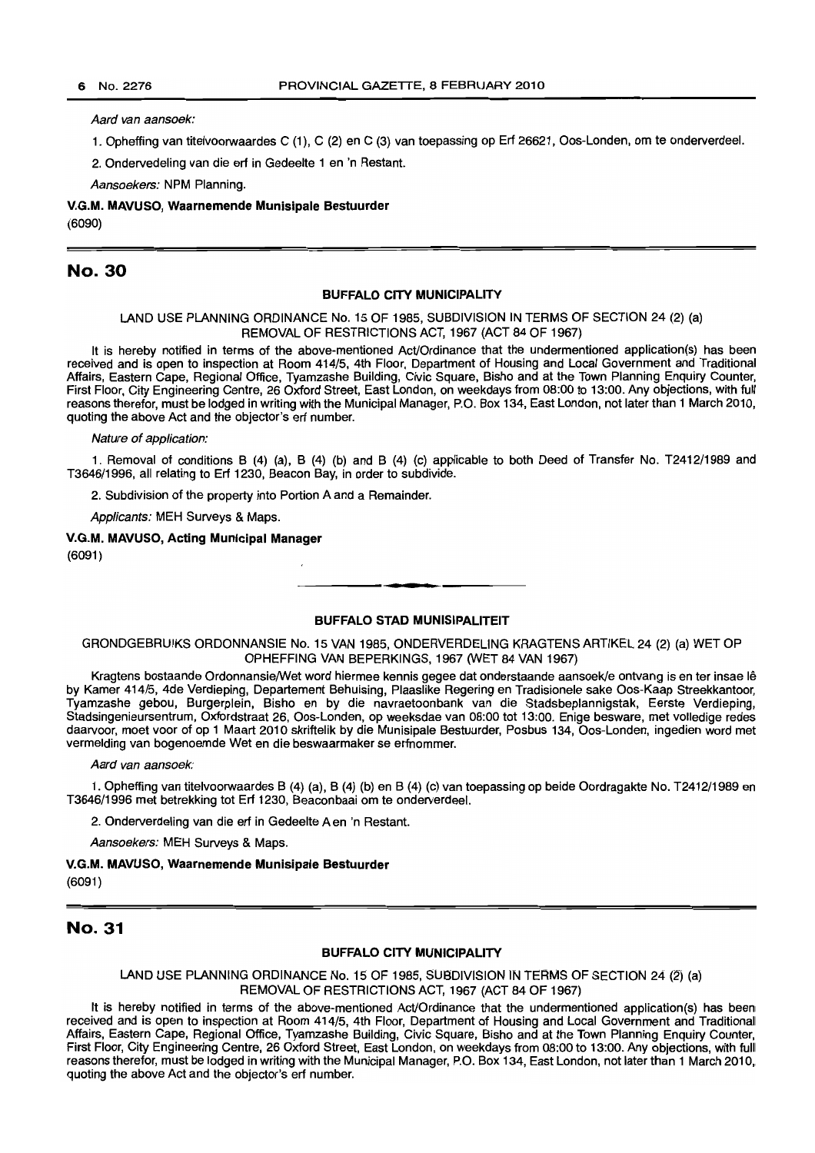Aard van aansoek:

1. Opheffing van titelvoorwaardes C (1), C (2) en C (3) van toepassing op Erf 26621, Oos-Londen, om te onderverdeel.

2. Ondervedeling van die erf in Gedeelte 1 en 'n Restant.

Aansoekers: NPM Planning.

V.G.M. MAVUSO, Waarnemende Munisipale Bestuurder (6090)

## No. 30

## BUFFALO CITY MUNICIPALITY

LAND USE PLANNING ORDINANCE No. 15 OF 1985, SUBDIVISION IN TERMS OF SECTION 24 (2) (a) REMOVAL OF RESTRICTIONS ACT, 1967 (ACT 84 OF 1967)

It is hereby notified in terms of the above-mentioned Act/Ordinance that the undermentioned application(s) has been received and is open to inspection at Room 414/5, 4th Floor, Department of Housing and Local Government and Traditional Affairs, Eastern Cape, Regional Office, Tyamzashe Building, Civic Square, Bisho and at the Town Planning Enquiry Counter, First Floor, City Engineering Centre, 26 Oxford Street, East London, on weekdays from 08:00 to 13:00. Any objections, with full reasons therefor, must be lodged in writing with the Municipal Manager, P.O. Box 134, East London, not later than 1 March 2010, quoting the above Act and the objector's ert number.

Nature of application:

1. Removal of conditions B (4) (a), B (4) (b) and B (4) (c) applicable to both Deed of Transfer No. T2412/1989 and T3646/1996, all relating to Erf 1230, Beacon Bay, in order to subdivide.

2. Subdivision of the property into Portion A and a Remainder.

Applicants: MEH Surveys & Maps.

V.G.M. MAVUSO, Acting Municipal Manager (6091)

## BUFFALO STAD MUNISIPALITEIT

**• •**

GRONDGEBRUIKS ORDONNANSIE No. 15 VAN 1985, ONDERVERDELlNG KRAGTENS ARTIKEL 24 (2) (a) WET OP OPHEFFING VAN BEPERKINGS, 1967 (WET 84 VAN 1967)

Kragtens bostaande OrdonnansielWet word hiermee kennis gegee dat onderstaande aansoek/e ontvang is en ter insae Ie by Kamer 414/5, 4de Verdieping, Departement Behuising, Plaaslike Regering en Tradisionele sake Oos-Kaap Streekkantoor, Tyamzashe gebou, Burgerplein, Bisho en by die navraetoonbank van die Stadsbeplannigstak, Eerste Verdieping, Stadsingenieursentrum, Oxfordstraat 26, Oos-Londen, op weeksdae van 08:00 tot 13:00. Enige besware, met volledige redes daarvoor, moet voor of op 1 Maart 2010 skriftelik by die Munisipale Bestuurder, Posbus 134, Oos-Londen, ingedien word met vermelding van bogenoemde Wet en die beswaarmaker se erfnommer.

Aard van aansoek:

1. Opheffing van titelvoorwaardes B (4) (a), B (4) (b) en B (4) (c) van toepassing op beide Oordragakte No. T2412/1989 en T3646/1996 met betrekking tot Erf 1230, Beaconbaai om te onderverdeel.

2. Onderverdeling van die erf in Gedeelte A en 'n Restant.

Aansoekers: MEH Surveys & Maps.

#### V.G.M. MAVUSO, Waarnemende Munisipale Bestuurder

(6091)

# No. 31

#### BUFFALO CITY MUNICIPALITY

LAND USE PLANNING ORDINANCE No. 15 OF 1985, SUBDIVISION IN TERMS OF SECTION 24 (2) (a) REMOVAL OF RESTRICTIONS ACT, 1967 (ACT 84 OF 1967)

It is hereby notified in terms of the above-mentioned AcVOrdinance that the undermentioned application(s) has been received and is open to inspection at Room 414/5, 4th Floor, Department of Housing and Local Government and Traditional Affairs, Eastern Cape, Regional Office, Tyamzashe Building, Civic Square, Bisho and at the Town Planning Enquiry Counter, First Floor, City Engineering Centre, 26 Oxford Street, East London, on weekdays from 08:00 to 13:00. Any objections, with full reasons therefor, must be lodged in writing with the Municipal Manager, P.O. Box 134, East London, not later than 1 March 2010, quoting the above Act and the objector's erf number.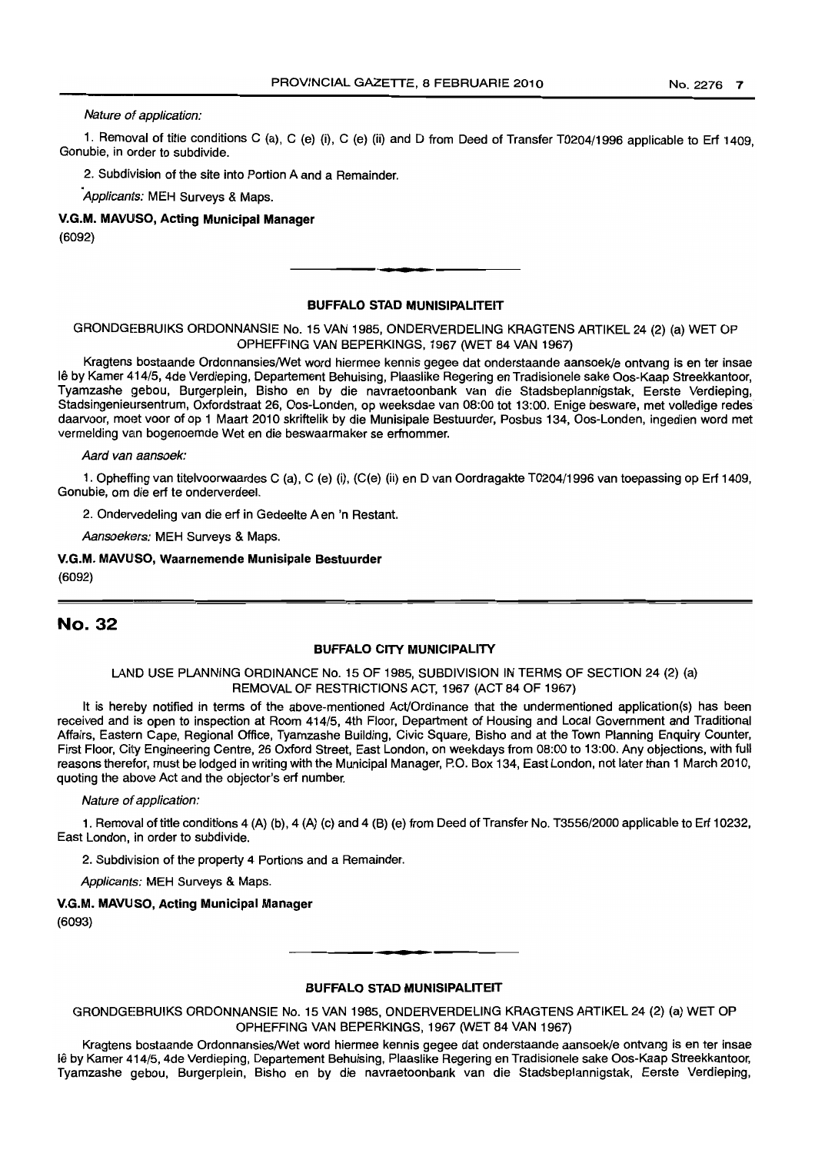Nature of application:

1. Removal of title conditions C (a), C (e) (i), C (e) (ii) and D from Deed of Transfer T0204/1996 applicable to Ert 1409, Gonubie, in order to subdivide.

2. Subdivision of the site into Portion A and a Remainder.

Applicants: MEH Surveys & Maps.

V.G.M. MAVUSO, Acting Municipal Manager

(6092)

#### BUFFALO STAD MUNISIPALITEIT

.**- .**

GRONDGEBRUIKS ORDONNANSIE No. 15 VAN 1985, ONDERVERDELING KRAGTENS ARTIKEL 24 (2) (a) WET OP OPHEFFING VAN BEPERKINGS, 1967 (WET 84 VAN 1967)

Kragtens bostaande Ordonnansies/Wet word hiermee kennis gegee dat onderstaande aansoek/e ontvang is en ter insae Ie by Kamer 414/5, 4de Verdieping, Departement Behuising, Plaaslike Regering en Tradisionele sake Oos-Kaap Streekkantoor, Tyamzashe gebou, Burgerplein, Bisho en by die navraetoonbank van die Stadsbeplannigstak, Eerste Verdieping, Stadsingenieursentrum, Oxfordstraat 26, Oos-Londen, op weeksdae van 08:00 tot 13:00. Enige besware, met volledige redes daarvoor, moet voor of op 1 Maart 2010 skriftelik by die Munisipale Bestuurder, Posbus 134, Oos-Londen, ingedien word met vermelding van bogenoemde Wet en die beswaarmaker se erfnommer.

Aard van aansoek:

1. Opheffing van titelvoorwaardes C (a), C (e) (i), (C(e) (ii) en D van Oordragakte T0204/1996 van toepassing op Ert 1409, Gonubie, om die ert te onderverdeel.

2. Ondervedeling van die ert in Gedeelte A en 'n Restant.

Aansoekers: MEH Surveys & Maps.

V.G.M. MAVUSO, Waarnemende Munisipale Bestuurder (6092)

# No. 32

#### BUFFALO CITY MUNICIPALITY

#### LAND USE PLANNING ORDINANCE No. 15 OF 1985, SUBDIVISION IN TERMS OF SECTION 24 (2) (a) REMOVAL OF RESTRICTIONS ACT, 1967 (ACT 84 OF 1967)

It is hereby notified in terms of the above-mentioned Act/Ordinance that the undermentioned application(s) has been received and is open to inspection at Room 414/5, 4th Floor, Department of Housing and Local Government and Traditional Affairs, Eastern Cape, Regional Office, Tyamzashe Building, Civic Square, Bisho and at the Town Planning Enquiry Counter, First Floor, City Engineering Centre, 26 Oxford Street, East London, on weekdays from 08:00 to 13:00. Any objections, with full reasons therefor, must be lodged in writing with the Municipal Manager, P.O. Box 134, East London, not later than 1 March 2010, quoting the above Act and the objector's ert number.

Nature of application:

1. Removal of title conditions 4 (A) (b), 4 (A) (c) and 4 (B) (e) from Deed of Transfer No. T3556/2000 applicable to Ert 10232, East London, in order to subdivide.

2. Subdivision of the property 4 Portions and a Remainder.

Applicants: MEH Surveys & Maps.

V.G.M. MAVUSO, Acting Municipal Manager

(6093)

#### BUFFALO STAD MUNISIPALITEIT

**•**

GRONDGEBRUIKS ORDONNANSIE No. 15 VAN 1985, ONDERVERDELING KRAGTENS ARTIKEL 24 (2) (a) WET OP OPHEFFING VAN BEPERKINGS, 1967 (WET 84 VAN 1967)

Kragtens bostaande OrdonnansieslWet word hiermee kennis gegee dat onderstaande aansoek/e ontvang is en ter insae Ie by Kamer 414/5, 4de Verdieping, Departement Behuising, Plaaslike Regering en Tradisionele sake Oos-Kaap Streekkantoor, Tyamzashe gebou, Burgerplein, Bisho en by die navraetoonbank van die Stadsbeplannigstak, Eerste Verdieping,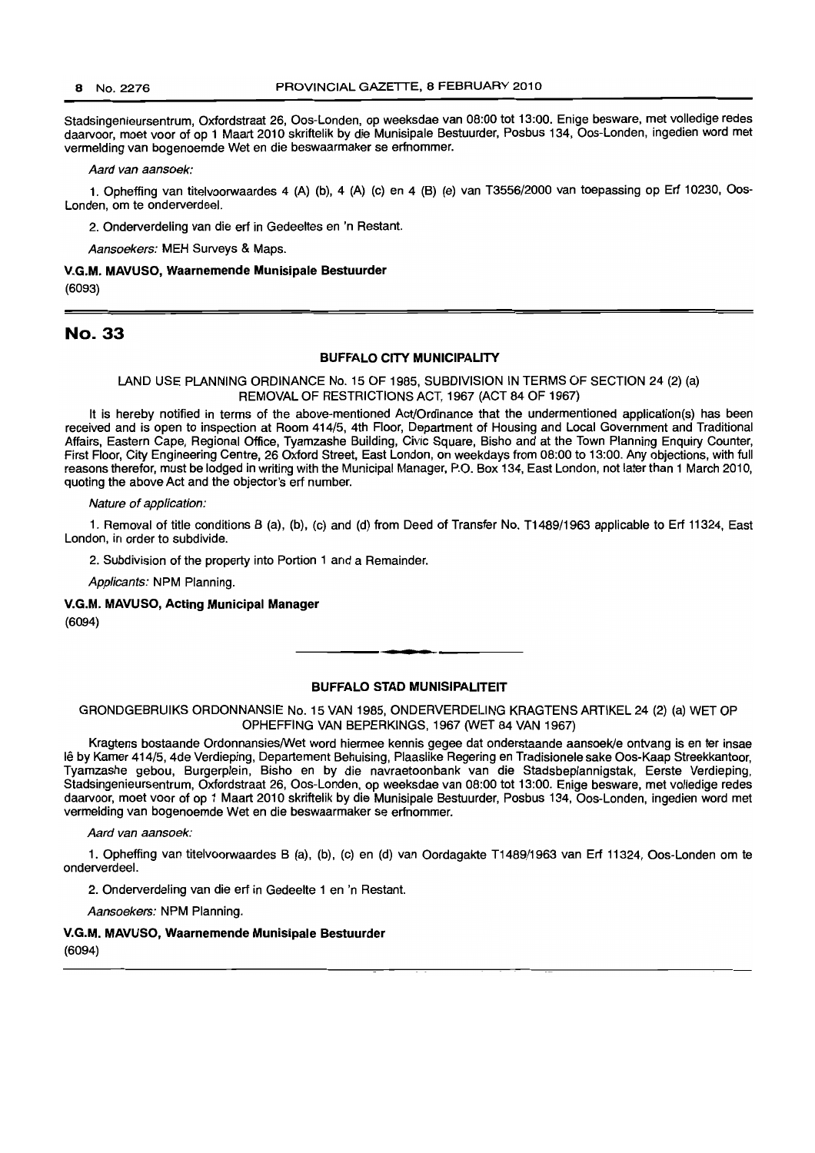Stadsingenieursentrum, Oxfordstraat 26, Oos-Londen, op weeksdae van 08:00 tot 13:00. Enige besware, met volledige redes daarvoor, moet voor of op 1 Maart 2010 skriftelik by die Munisipale Bestuurder, Posbus 134, Oos-Londen, ingedien word met vermelding van bogenoemde Wet en die beswaarmaker se erfnommer.

Aard van aansoek:

1. Opheffing van titelvoorwaardes 4 (A) (b), 4 (A) (c) en 4 (B) (e) van T3556/2000 van toepassing op Erf 10230, 005- Londen, om te onderverdeel.

2. Onderverdeling van die erf in Gedeeltes en 'n Restant.

Aansoekers: MEH Surveys & Maps.

V.G.M. MAVUSO, Waarnemende Munisipale Bestuurder (6093)

## No. 33

#### BUFFALO CITY MUNICIPALITY

LAND USE PLANNING ORDINANCE No. 15 OF 1985, SUBDIVISION IN TERMS OF SECTION 24 (2) (a) REMOVAL OF RESTRICTIONS ACT, 1967 (ACT 84 OF 1967)

It is hereby notified in terms of the above-mentioned Act/Ordinance that the undermentioned application(s) has been received and is open to inspection at Room 414/5, 4th Floor, Department of Housing and Local Government and Traditional Affairs, Eastern Cape, Regional Office, Tyamzashe Building, Civic Square, Bisho and at the Town Planning Enquiry Counter, First Floor, City Engineering Centre, 26 Oxford Street, East London, on weekdays from 08:00 to 13:00. Any objections, with full reasons therefor, must be lodged in writing with the Municipal Manager, P.O. Box 134, East London, not later than 1 March 2010, quoting the above Act and the objector's erf number.

Nature of application:

1. Removal of title conditions B (a), (b), (c) and (d) from Deed of Transfer No. T1489/1963 applicable to Erf 11324, East London, in order to subdivide.

2. Subdivision of the property into Portion 1 and a Remainder.

Applicants: NPM Planning.

V.G.M. MAVUSO, Acting Municipal Manager (6094)

#### BUFFALO STAD MUNISIPALITEIT

**•**

GRONDGEBRUIKS ORDONNANSIE No. 15 VAN 1985, ONDERVERDELING KRAGTENS ARTIKEL 24 (2) (a) WET OP OPHEFFING VAN BEPERKINGS, 1967 (WET 84 VAN 1967)

Kragtens bostaande Ordonnansies/Wet word hiermee kennis gegee dat onderstaande aansoek/e ontvang is en ter insae Ie by Kamer 414/5, 4de Verdieping, Departement Behuising, Plaaslike Regering en Tradisionele sake Oos-Kaap Streekkantoor, Tyamzashe gebou, Burgerplein, Bisho en by die navraetoonbank van die Stadsbeplannigstak, Eerste Verdieping, Stadsingenieursentrum, Oxfordstraat 26, Oos-Londen, op weeksdae van 08:00 tot 13:00. Enige besware, met volledige redes daarvoor, moet voor of op 1 Maart 2010 skriftelik by die Munisipale Bestuurder, Posbus 134, Oos-Londen, ingedien word met vermelding van bogenoemde Wet en die beswaarmaker se erfnommer.

Aard van aansoek:

1. Opheffing van titelvoorwaardes B (a), (b), (c) en (d) van Oordagakte T1489/1963 van Erf 11324, Oos-Londen om te onderverdeel.

2. Onderverdeling van die erf in Gedeelte 1 en 'n Restant.

Aansoekers: NPM Planning.

#### V.G.M. MAVUSO, Waarnemende Munisipale Bestuurder

(6094)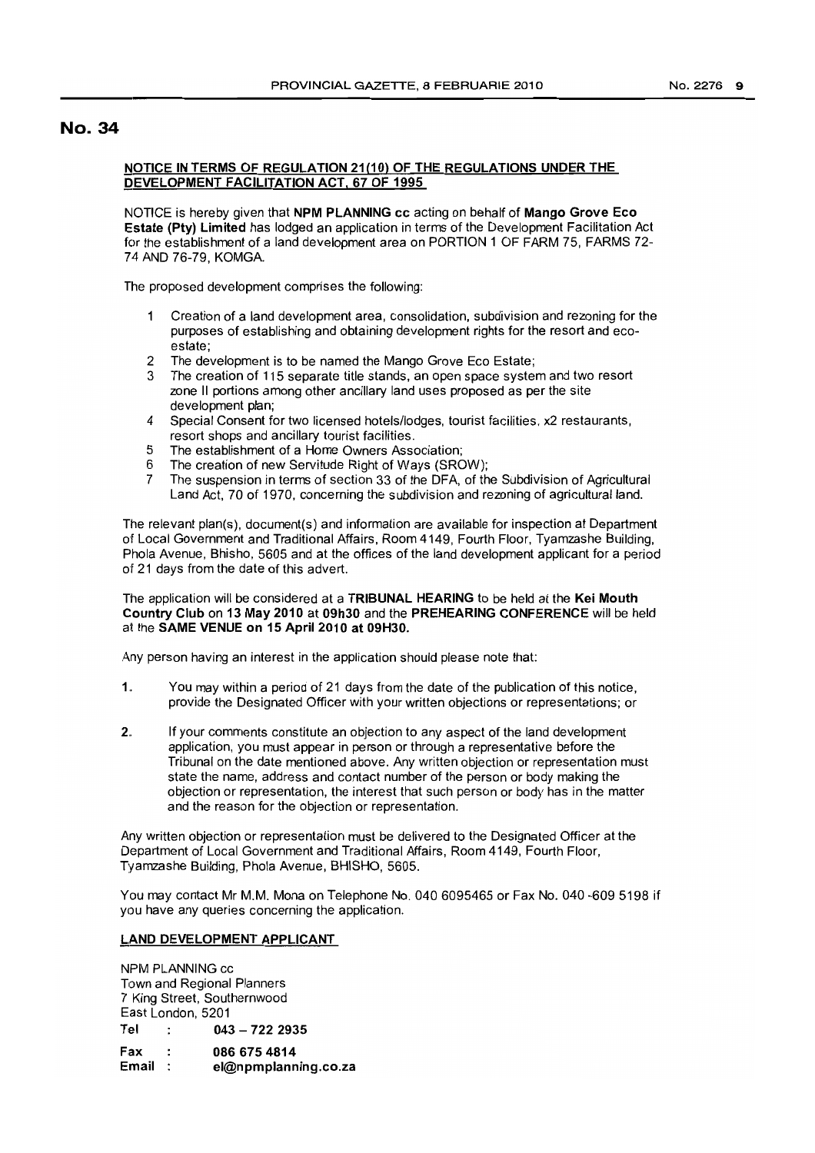# No. 34

## NOTICE IN TERMS OF REGULATION 21(10) OF THE REGULATIONS UNDER THE DEVELOPMENT FACILITATION ACT, 67 OF 1995

NOTICE is hereby given that NPM PLANNING cc acting on behalf of Mango Grove Eco Estate (Pty) Limited has lodged an application in terms of the Development Facilitation Act for the establishment of a land development area on PORTION 1 OF FARM 75, FARMS 72- 74 AND 76-79, KOMGA.

The proposed development comprises the following:

- Creation of a land development area, consolidation, subdivision and rezoning for the  $\mathbf 1$ purposes of establishing and obtaining development rights for the resort and ecoestate;
- 2 The development is to be named the Mango Grove Eco Estate;
- 3 The creation of 115 separate title stands, an open space system and two resort zone II portions among other ancillary land uses proposed as per the site development plan;
- 4 Special Consent for two licensed hotels/lodges, tourist facilities, x2 restaurants, resort shops and ancillary tourist facilities.
- 5 The establishment of a Home Owners Association;
- 6 The creation of new Servitude Right of Ways (SROW);<br>7 The suspension in terms of section 33 of the DEA of the
- 7 The suspension in terms of section 33 of the DFA, of the Subdivision of Agricultural Land Act, 70 of 1970, concerning the subdivision and rezoning of agricultural land.

The relevant plan(s), document(s) and information are available for inspection at Department of Local Government and Traditional Affairs, Room 4149, Fourth Floor, Tyamzashe Building, Phola Avenue, Bhisho, 5605 and at the offices of the land development applicant for a period of 21 days from the date of this advert.

The application will be considered at a TRIBUNAL HEARING to be held at the Kei Mouth Country Club on 13 May 2010 at 09h30 and the PREHEARING CONFERENCE will be held at the SAME VENUE on 15 April 2010 at 09H30.

Any person having an interest in the application should please note that:

- 1. You may within a period of 21 days from the date of the publication of this notice, provide the Designated Officer with your written objections or representations; or
- 2. If your comments constitute an objection to any aspect of the land development application, you must appear in person or through a representative before the Tribunal on the date mentioned above. Any written objection or representation must state the name, address and contact number of the person or body making the objection or representation, the interest that such person or body has in the matter and the reason for the objection or representation.

Any written objection or representation must be delivered to the Designated Officer at the Department of Local Government and Traditional Affairs, Room 4149, Fourth Floor, Tyamzashe Building, Phola Avenue, BHISHO, 5605.

You may contact Mr M.M. Mona on Telephone No. 0406095465 or Fax No. 040 -609 5198 if you have any queries concerning the application.

## LAND DEVELOPMENT APPLICANT

NPM PLANNING cc Town and Regional Planners 7 King Street, Southernwood East London, 5201 Tel : 043 - 722 2935 Fax : 086 675 4814<br>Email : el@npmplann el@npmplanning.co.za